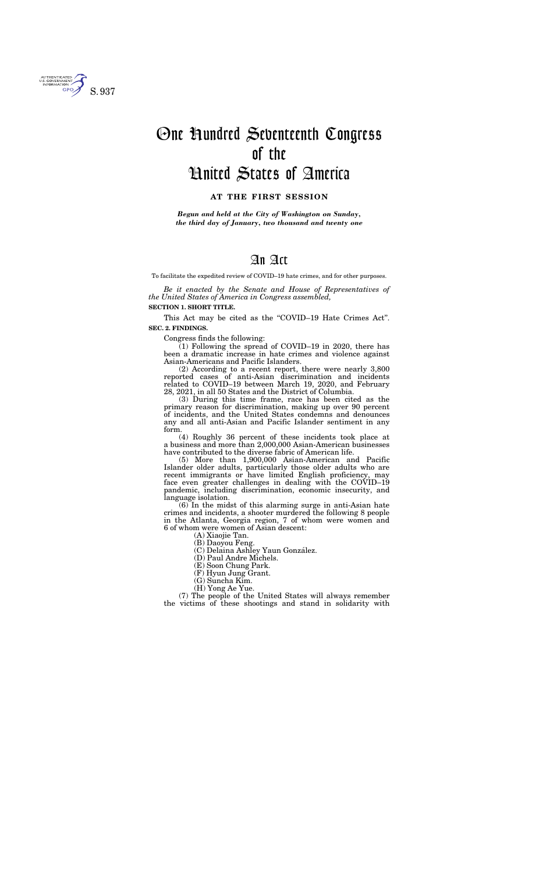To facilitate the expedited review of COVID–19 hate crimes, and for other purposes.

*Be it enacted by the Senate and House of Representatives of the United States of America in Congress assembled,* 

#### **SECTION 1. SHORT TITLE.**

This Act may be cited as the "COVID-19 Hate Crimes Act". **SEC. 2. FINDINGS.** 

Congress finds the following:

 $(1)$  Following the spread of COVID–19 in 2020, there has been a dramatic increase in hate crimes and violence against Asian-Americans and Pacific Islanders.

(2) According to a recent report, there were nearly 3,800 reported cases of anti-Asian discrimination and incidents related to COVID–19 between March 19, 2020, and February 28, 2021, in all 50 States and the District of Columbia.

(3) During this time frame, race has been cited as the primary reason for discrimination, making up over 90 percent of incidents, and the United States condemns and denounces any and all anti-Asian and Pacific Islander sentiment in any form.

(4) Roughly 36 percent of these incidents took place at a business and more than 2,000,000 Asian-American businesses have contributed to the diverse fabric of American life.

(5) More than 1,900,000 Asian-American and Pacific Islander older adults, particularly those older adults who are recent immigrants or have limited English proficiency, may face even greater challenges in dealing with the COVID–19 pandemic, including discrimination, economic insecurity, and language isolation.

(6) In the midst of this alarming surge in anti-Asian hate crimes and incidents, a shooter murdered the following 8 people in the Atlanta, Georgia region, 7 of whom were women and 6 of whom were women of Asian descent:

(A) Xiaojie Tan.

(B) Daoyou Feng.

(C) Delaina Ashley Yaun González.

(D) Paul Andre Michels.

(E) Soon Chung Park.

(F) Hyun Jung Grant.

(G) Suncha Kim. (H) Yong Ae Yue.

(7) The people of the United States will always remember the victims of these shootings and stand in solidarity with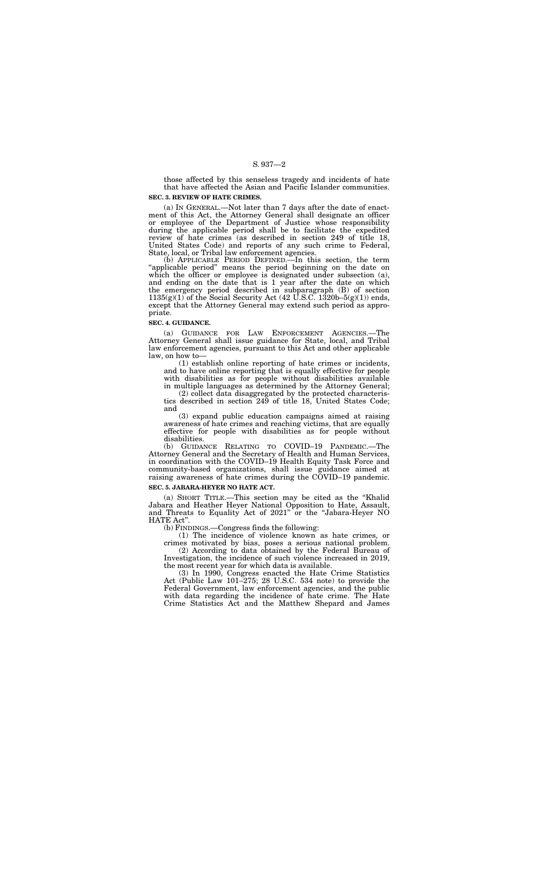those affected by this senseless tragedy and incidents of hate that have affected the Asian and Pacific Islander communities.

#### **SEC. 3. REVIEW OF HATE CRIMES.**

(a) IN GENERAL.—Not later than 7 days after the date of enactment of this Act, the Attorney General shall designate an officer or employee of the Department of Justice whose responsibility during the applicable period shall be to facilitate the expedited review of hate crimes (as described in section 249 of title 18, United States Code) and reports of any such crime to Federal, State, local, or Tribal law enforcement agencies.

(b) APPLICABLE PERIOD DEFINED.—In this section, the term "applicable period" means the period beginning on the date on which the officer or employee is designated under subsection (a), and ending on the date that is 1 year after the date on which the emergency period described in subparagraph (B) of section  $1135(g)(1)$  of the Social Security Act (42 U.S.C. 1320b–5(g)(1)) ends, except that the Attorney General may extend such period as appropriate.

#### **SEC. 4. GUIDANCE.**

(a) GUIDANCE FOR LAW ENFORCEMENT AGENCIES.—The Attorney General shall issue guidance for State, local, and Tribal law enforcement agencies, pursuant to this Act and other applicable law, on how to—

(1) establish online reporting of hate crimes or incidents, and to have online reporting that is equally effective for people with disabilities as for people without disabilities available in multiple languages as determined by the Attorney General;

(2) collect data disaggregated by the protected characteristics described in section 249 of title 18, United States Code; and

(3) expand public education campaigns aimed at raising awareness of hate crimes and reaching victims, that are equally effective for people with disabilities as for people without disabilities.

(b) GUIDANCE RELATING TO COVID–19 PANDEMIC.—The Attorney General and the Secretary of Health and Human Services, in coordination with the COVID–19 Health Equity Task Force and community-based organizations, shall issue guidance aimed at raising awareness of hate crimes during the COVID–19 pandemic.

#### **SEC. 5. JABARA-HEYER NO HATE ACT.**

(a) SHORT TITLE.—This section may be cited as the ''Khalid Jabara and Heather Heyer National Opposition to Hate, Assault, and Threats to Equality Act of 2021'' or the ''Jabara-Heyer NO HATE Act''.

(b) FINDINGS.—Congress finds the following:

(1) The incidence of violence known as hate crimes, or crimes motivated by bias, poses a serious national problem.

(2) According to data obtained by the Federal Bureau of Investigation, the incidence of such violence increased in 2019, the most recent year for which data is available.

(3) In 1990, Congress enacted the Hate Crime Statistics Act (Public Law 101–275; 28 U.S.C. 534 note) to provide the Federal Government, law enforcement agencies, and the public with data regarding the incidence of hate crime. The Hate Crime Statistics Act and the Matthew Shepard and James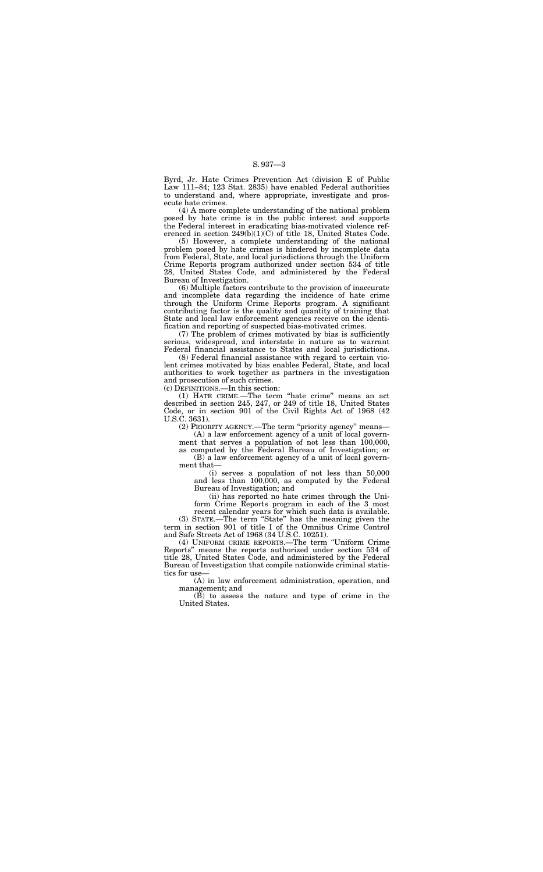Byrd, Jr. Hate Crimes Prevention Act (division E of Public Law 111–84; 123 Stat. 2835) have enabled Federal authorities to understand and, where appropriate, investigate and prosecute hate crimes.

(4) A more complete understanding of the national problem posed by hate crime is in the public interest and supports the Federal interest in eradicating bias-motivated violence referenced in section 249(b)(1)(C) of title 18, United States Code.

(5) However, a complete understanding of the national problem posed by hate crimes is hindered by incomplete data from Federal, State, and local jurisdictions through the Uniform Crime Reports program authorized under section 534 of title 28, United States Code, and administered by the Federal Bureau of Investigation.

(6) Multiple factors contribute to the provision of inaccurate and incomplete data regarding the incidence of hate crime through the Uniform Crime Reports program. A significant contributing factor is the quality and quantity of training that State and local law enforcement agencies receive on the identification and reporting of suspected bias-motivated crimes.

(7) The problem of crimes motivated by bias is sufficiently serious, widespread, and interstate in nature as to warrant Federal financial assistance to States and local jurisdictions.

(4) UNIFORM CRIME REPORTS.—The term ''Uniform Crime Reports'' means the reports authorized under section 534 of title 28, United States Code, and administered by the Federal Bureau of Investigation that compile nationwide criminal statistics for use-

(8) Federal financial assistance with regard to certain violent crimes motivated by bias enables Federal, State, and local authorities to work together as partners in the investigation and prosecution of such crimes.

(c) DEFINITIONS.—In this section:

(1) HATE CRIME.—The term ''hate crime'' means an act described in section 245, 247, or 249 of title 18, United States Code, or in section 901 of the Civil Rights Act of 1968 (42 U.S.C. 3631).

(2) PRIORITY AGENCY.—The term ''priority agency'' means—

(A) a law enforcement agency of a unit of local government that serves a population of not less than 100,000, as computed by the Federal Bureau of Investigation; or

(B) a law enforcement agency of a unit of local government that—

(i) serves a population of not less than 50,000 and less than 100,000, as computed by the Federal Bureau of Investigation; and

(ii) has reported no hate crimes through the Uniform Crime Reports program in each of the 3 most

recent calendar years for which such data is available. (3) STATE.—The term ''State'' has the meaning given the term in section 901 of title I of the Omnibus Crime Control and Safe Streets Act of 1968 (34 U.S.C. 10251).

(A) in law enforcement administration, operation, and management; and

(B) to assess the nature and type of crime in the United States.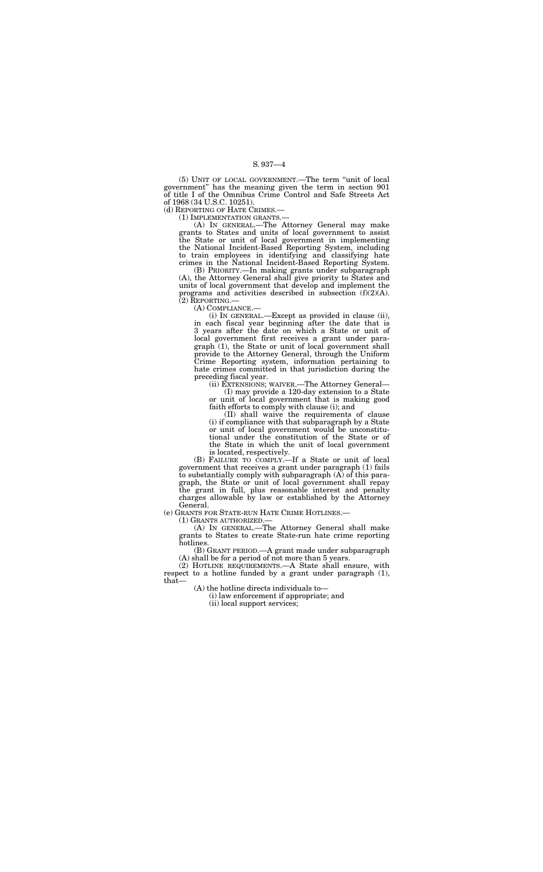(5) UNIT OF LOCAL GOVERNMENT.—The term ''unit of local government'' has the meaning given the term in section 901 of title I of the Omnibus Crime Control and Safe Streets Act of 1968 (34 U.S.C. 10251).

(d) REPORTING OF HATE CRIMES.—

(1) IMPLEMENTATION GRANTS.—

(A) IN GENERAL.—The Attorney General may make grants to States and units of local government to assist the State or unit of local government in implementing the National Incident-Based Reporting System, including to train employees in identifying and classifying hate crimes in the National Incident-Based Reporting System.

(B) PRIORITY.—In making grants under subparagraph (A), the Attorney General shall give priority to States and units of local government that develop and implement the programs and activities described in subsection  $(f)(2)(A)$ . (2) REPORTING.—

(A) COMPLIANCE.—

(i) IN GENERAL.—Except as provided in clause (ii), in each fiscal year beginning after the date that is 3 years after the date on which a State or unit of local government first receives a grant under paragraph (1), the State or unit of local government shall provide to the Attorney General, through the Uniform Crime Reporting system, information pertaining to hate crimes committed in that jurisdiction during the preceding fiscal year.

(ii) EXTENSIONS; WAIVER.—The Attorney General—

(I) may provide a 120-day extension to a State or unit of local government that is making good faith efforts to comply with clause (i); and

(II) shall waive the requirements of clause (i) if compliance with that subparagraph by a State or unit of local government would be unconstitutional under the constitution of the State or of the State in which the unit of local government is located, respectively.

(B) FAILURE TO COMPLY.—If a State or unit of local government that receives a grant under paragraph (1) fails to substantially comply with subparagraph (A) of this paragraph, the State or unit of local government shall repay the grant in full, plus reasonable interest and penalty charges allowable by law or established by the Attorney General.

(e) GRANTS FOR STATE-RUN HATE CRIME HOTLINES.—

(1) GRANTS AUTHORIZED.—

(A) IN GENERAL.—The Attorney General shall make grants to States to create State-run hate crime reporting hotlines.

(B) GRANT PERIOD.—A grant made under subparagraph (A) shall be for a period of not more than 5 years.

(2) HOTLINE REQUIREMENTS.—A State shall ensure, with respect to a hotline funded by a grant under paragraph (1), that—

(A) the hotline directs individuals to—

(i) law enforcement if appropriate; and

(ii) local support services;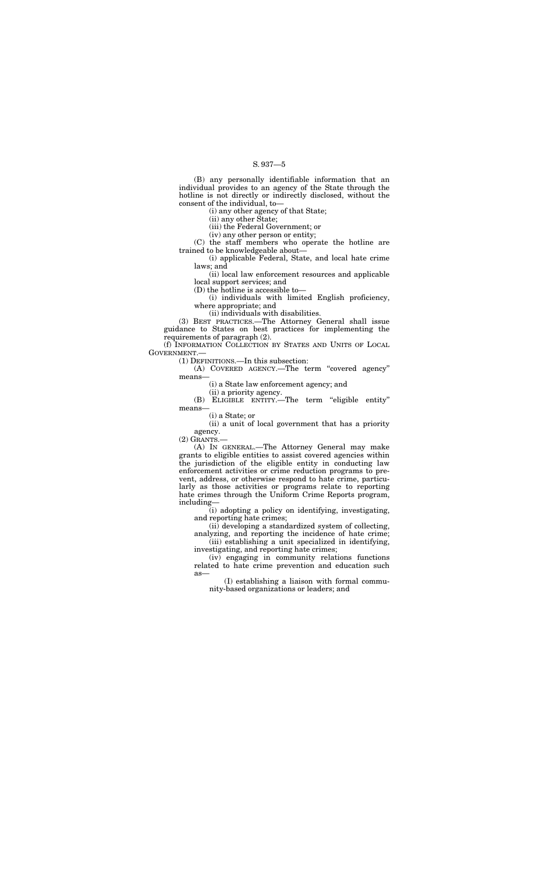(B) any personally identifiable information that an individual provides to an agency of the State through the hotline is not directly or indirectly disclosed, without the consent of the individual, to—

(i) any other agency of that State;

(ii) any other State;

(iii) the Federal Government; or

(iv) any other person or entity;

(C) the staff members who operate the hotline are trained to be knowledgeable about—

(i) applicable Federal, State, and local hate crime laws; and

(ii) local law enforcement resources and applicable local support services; and

(B) ELIGIBLE ENTITY.—The term ''eligible entity'' means

(D) the hotline is accessible to—

(i) individuals with limited English proficiency, where appropriate; and

(ii) individuals with disabilities.

(3) BEST PRACTICES.—The Attorney General shall issue guidance to States on best practices for implementing the requirements of paragraph (2).

(f) INFORMATION COLLECTION BY STATES AND UNITS OF LOCAL GOVERNMENT.—

(1) DEFINITIONS.—In this subsection:

(A) COVERED AGENCY.—The term ''covered agency'' means—

(i) a State law enforcement agency; and

(ii) a priority agency.

(i) a State; or

(ii) a unit of local government that has a priority agency.

 $(2)$  GRANTS.

(A) IN GENERAL.—The Attorney General may make grants to eligible entities to assist covered agencies within the jurisdiction of the eligible entity in conducting law enforcement activities or crime reduction programs to prevent, address, or otherwise respond to hate crime, particularly as those activities or programs relate to reporting hate crimes through the Uniform Crime Reports program, including—

(i) adopting a policy on identifying, investigating, and reporting hate crimes;

(ii) developing a standardized system of collecting, analyzing, and reporting the incidence of hate crime;

(iii) establishing a unit specialized in identifying, investigating, and reporting hate crimes;

(iv) engaging in community relations functions related to hate crime prevention and education such as—

(I) establishing a liaison with formal community-based organizations or leaders; and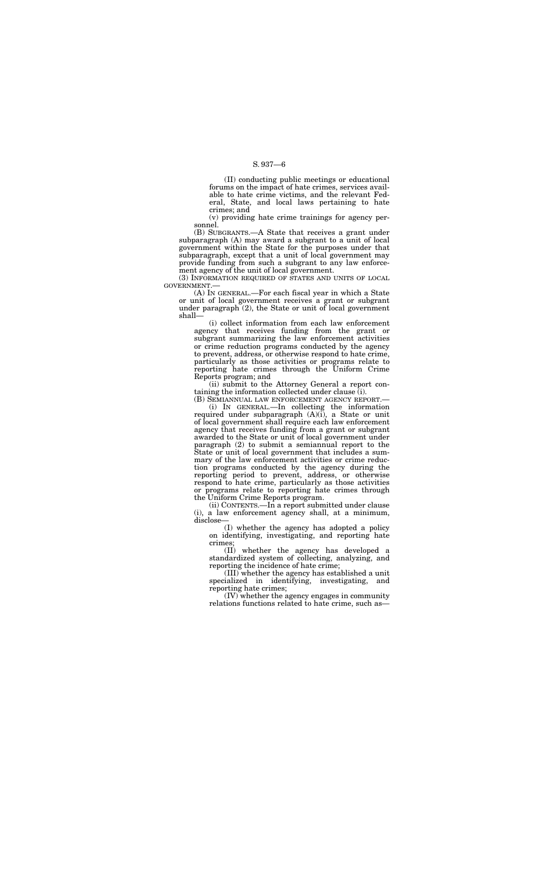(II) conducting public meetings or educational forums on the impact of hate crimes, services available to hate crime victims, and the relevant Federal, State, and local laws pertaining to hate crimes; and

(B) SUBGRANTS.—A State that receives a grant under subparagraph (A) may award a subgrant to a unit of local government within the State for the purposes under that subparagraph, except that a unit of local government may provide funding from such a subgrant to any law enforcement agency of the unit of local government.

(v) providing hate crime trainings for agency personnel.

(3) INFORMATION REQUIRED OF STATES AND UNITS OF LOCAL GOVERNMENT.—

(A) IN GENERAL.—For each fiscal year in which a State or unit of local government receives a grant or subgrant under paragraph (2), the State or unit of local government shall—

(i) collect information from each law enforcement agency that receives funding from the grant or subgrant summarizing the law enforcement activities or crime reduction programs conducted by the agency to prevent, address, or otherwise respond to hate crime, particularly as those activities or programs relate to reporting hate crimes through the Uniform Crime Reports program; and

(ii) submit to the Attorney General a report containing the information collected under clause (i).

(B) SEMIANNUAL LAW ENFORCEMENT AGENCY REPORT.—

(i) IN GENERAL.—In collecting the information required under subparagraph (A)(i), a State or unit of local government shall require each law enforcement agency that receives funding from a grant or subgrant awarded to the State or unit of local government under paragraph (2) to submit a semiannual report to the State or unit of local government that includes a summary of the law enforcement activities or crime reduction programs conducted by the agency during the reporting period to prevent, address, or otherwise respond to hate crime, particularly as those activities or programs relate to reporting hate crimes through the Uniform Crime Reports program.

(ii) CONTENTS.—In a report submitted under clause (i), a law enforcement agency shall, at a minimum, disclose—

(I) whether the agency has adopted a policy on identifying, investigating, and reporting hate crimes;

(II) whether the agency has developed a standardized system of collecting, analyzing, and reporting the incidence of hate crime;

(III) whether the agency has established a unit specialized in identifying, investigating, and reporting hate crimes;

(IV) whether the agency engages in community relations functions related to hate crime, such as—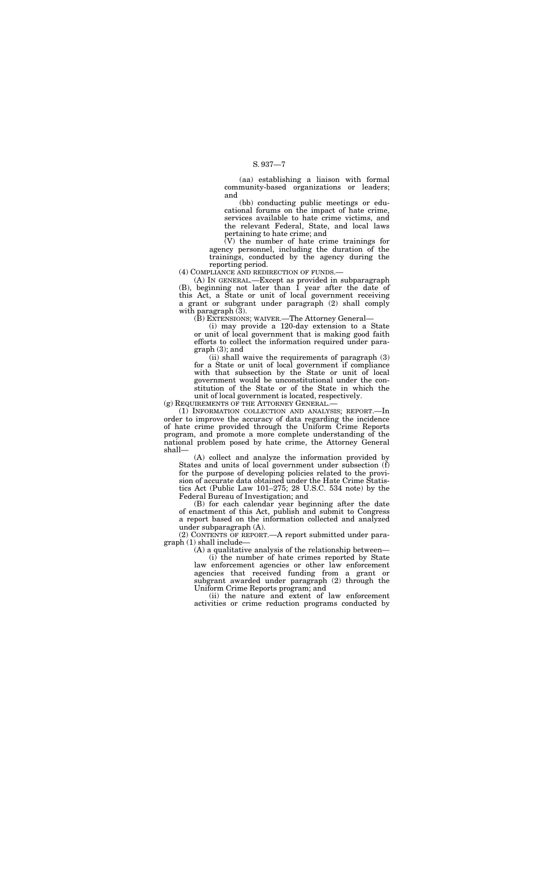(aa) establishing a liaison with formal community-based organizations or leaders; and

(bb) conducting public meetings or educational forums on the impact of hate crime, services available to hate crime victims, and the relevant Federal, State, and local laws pertaining to hate crime; and

(A) IN GENERAL.—Except as provided in subparagraph (B), beginning not later than 1 year after the date of this Act, a State or unit of local government receiving a grant or subgrant under paragraph (2) shall comply with paragraph  $(3)$ .

(V) the number of hate crime trainings for agency personnel, including the duration of the trainings, conducted by the agency during the reporting period.

(4) COMPLIANCE AND REDIRECTION OF FUNDS.—

(B) EXTENSIONS; WAIVER.—The Attorney General—

(i) may provide a 120-day extension to a State or unit of local government that is making good faith efforts to collect the information required under paragraph (3); and

(ii) shall waive the requirements of paragraph (3) for a State or unit of local government if compliance with that subsection by the State or unit of local government would be unconstitutional under the constitution of the State or of the State in which the unit of local government is located, respectively.

(g) REQUIREMENTS OF THE ATTORNEY GENERAL.—

(1) INFORMATION COLLECTION AND ANALYSIS; REPORT.—In order to improve the accuracy of data regarding the incidence of hate crime provided through the Uniform Crime Reports program, and promote a more complete understanding of the national problem posed by hate crime, the Attorney General shall—

(A) collect and analyze the information provided by States and units of local government under subsection (f) for the purpose of developing policies related to the provision of accurate data obtained under the Hate Crime Statistics Act (Public Law 101–275; 28 U.S.C. 534 note) by the Federal Bureau of Investigation; and

(B) for each calendar year beginning after the date of enactment of this Act, publish and submit to Congress a report based on the information collected and analyzed under subparagraph (A).

(2) CONTENTS OF REPORT.—A report submitted under paragraph (1) shall include—

(A) a qualitative analysis of the relationship between—

(i) the number of hate crimes reported by State law enforcement agencies or other law enforcement agencies that received funding from a grant or subgrant awarded under paragraph (2) through the Uniform Crime Reports program; and

(ii) the nature and extent of law enforcement activities or crime reduction programs conducted by